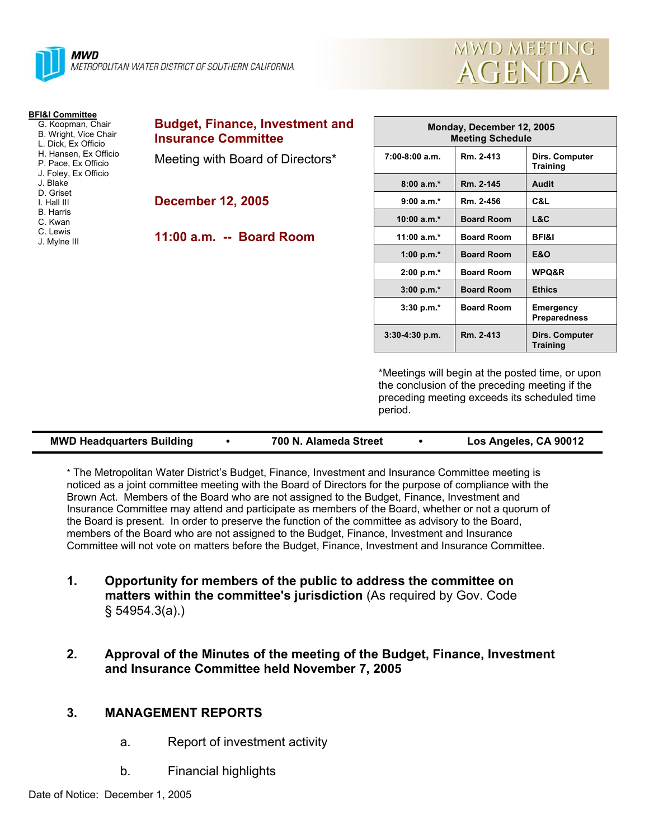

| <b>MWD MEETING</b> |
|--------------------|
| AGENDA             |

| <b>BFI&amp;I Committee</b>                                           |                                                                      |                  |
|----------------------------------------------------------------------|----------------------------------------------------------------------|------------------|
| G. Koopman, Chair<br>B. Wright, Vice Chair<br>L. Dick. Ex Officio    | <b>Budget, Finance, Investment and</b><br><b>Insurance Committee</b> | Mo               |
| H. Hansen, Ex Officio<br>P. Pace, Ex Officio<br>J. Foley, Ex Officio | Meeting with Board of Directors*                                     | $7:00-8:00$ a.m. |
| J. Blake                                                             |                                                                      | $8:00a.m.*$      |
| D. Griset<br>I. Hall III                                             | <b>December 12, 2005</b>                                             | $9:00 a.m.*$     |
| <b>B.</b> Harris<br>C. Kwan                                          |                                                                      | 10:00 $a.m.*$    |
| C. Lewis<br>J. Mylne III                                             | 11:00 a.m. -- Board Room                                             | 11:00 $a.m.*$    |
|                                                                      |                                                                      | 1:00 p.m. $*$    |
|                                                                      |                                                                      | 2:00 p.m.*       |
|                                                                      |                                                                      | $3:00 p.m.*$     |

| Monday, December 12, 2005<br><b>Meeting Schedule</b> |                   |                                   |  |
|------------------------------------------------------|-------------------|-----------------------------------|--|
| $7:00-8:00$ a.m.                                     | Rm. 2-413         | Dirs. Computer<br>Training        |  |
| $8:00a.m.*$                                          | Rm. 2-145         | <b>Audit</b>                      |  |
| $9:00 a.m.*$                                         | Rm. 2-456         | C&L                               |  |
| $10:00 a.m.*$                                        | <b>Board Room</b> | L&C                               |  |
| 11:00 a.m. $*$                                       | <b>Board Room</b> | <b>BFI&amp;I</b>                  |  |
| 1:00 p.m. $*$                                        | <b>Board Room</b> | <b>E&amp;O</b>                    |  |
| $2:00 p.m.*$                                         | <b>Board Room</b> | <b>WPQ&amp;R</b>                  |  |
| $3:00 p.m.*$                                         | <b>Board Room</b> | <b>Ethics</b>                     |  |
| $3:30$ p.m. $*$                                      | <b>Board Room</b> | Emergency<br><b>Preparedness</b>  |  |
| 3:30-4:30 p.m.                                       | Rm. 2-413         | Dirs. Computer<br><b>Training</b> |  |

\*Meetings will begin at the posted time, or upon the conclusion of the preceding meeting if the preceding meeting exceeds its scheduled time period.

\* The Metropolitan Water District's Budget, Finance, Investment and Insurance Committee meeting is noticed as a joint committee meeting with the Board of Directors for the purpose of compliance with the Brown Act. Members of the Board who are not assigned to the Budget, Finance, Investment and Insurance Committee may attend and participate as members of the Board, whether or not a quorum of the Board is present. In order to preserve the function of the committee as advisory to the Board, members of the Board who are not assigned to the Budget, Finance, Investment and Insurance Committee will not vote on matters before the Budget, Finance, Investment and Insurance Committee.

- **1. Opportunity for members of the public to address the committee on matters within the committee's jurisdiction** (As required by Gov. Code § 54954.3(a).)
- **2. Approval of the Minutes of the meeting of the Budget, Finance, Investment and Insurance Committee held November 7, 2005**

# **3. MANAGEMENT REPORTS**

- a. Report of investment activity
- b. Financial highlights